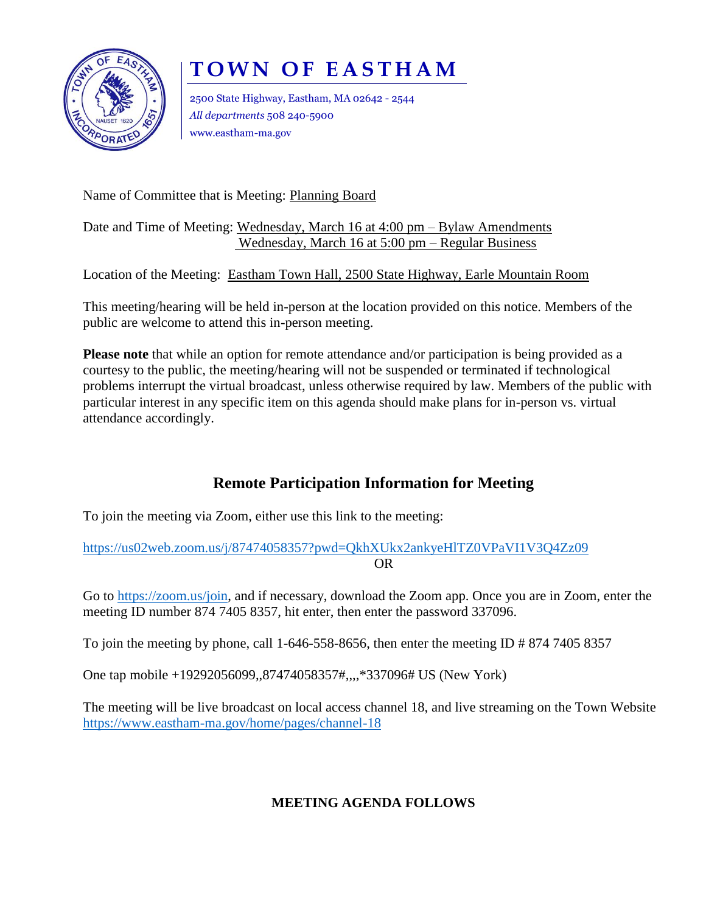

# **TOWN OF EASTHAM**

2500 State Highway, Eastham, MA 02642 - 2544 *All departments* 508 240-5900 www.eastham-ma.gov

Name of Committee that is Meeting: Planning Board

#### Date and Time of Meeting: Wednesday, March 16 at 4:00 pm – Bylaw Amendments Wednesday, March 16 at 5:00 pm – Regular Business

Location of the Meeting: Eastham Town Hall, 2500 State Highway, Earle Mountain Room

This meeting/hearing will be held in-person at the location provided on this notice. Members of the public are welcome to attend this in-person meeting.

**Please note** that while an option for remote attendance and/or participation is being provided as a courtesy to the public, the meeting/hearing will not be suspended or terminated if technological problems interrupt the virtual broadcast, unless otherwise required by law. Members of the public with particular interest in any specific item on this agenda should make plans for in-person vs. virtual attendance accordingly.

## **Remote Participation Information for Meeting**

To join the meeting via Zoom, either use this link to the meeting:

<https://us02web.zoom.us/j/87474058357?pwd=QkhXUkx2ankyeHlTZ0VPaVI1V3Q4Zz09> OR

Go to [https://zoom.us/join,](https://zoom.us/join) and if necessary, download the Zoom app. Once you are in Zoom, enter the meeting ID number 874 7405 8357, hit enter, then enter the password 337096.

To join the meeting by phone, call 1-646-558-8656, then enter the meeting ID  $\# 874 7405 8357$ 

One tap mobile +19292056099,,87474058357#,,,,\*337096# US (New York)

The meeting will be live broadcast on local access channel 18, and live streaming on the Town Website <https://www.eastham-ma.gov/home/pages/channel-18>

#### **MEETING AGENDA FOLLOWS**